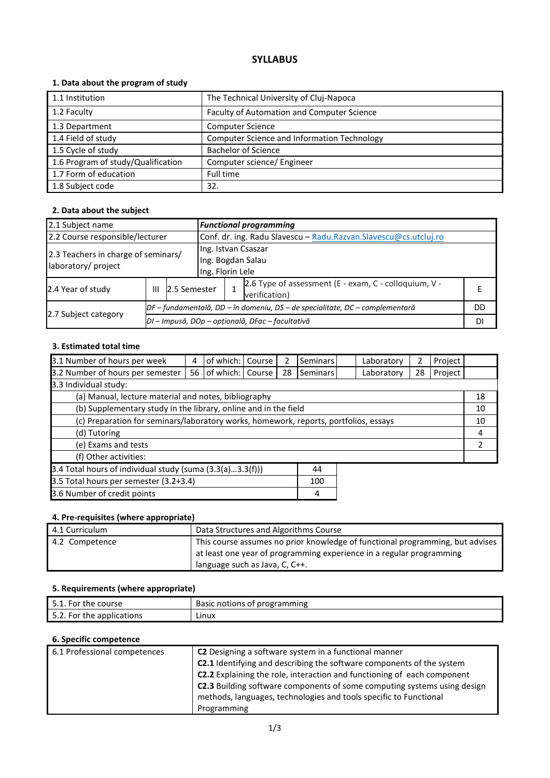## **SYLLABUS**

#### **1. Data about the program of study**

| 1.1 Institution                    | The Technical University of Cluj-Napoca            |
|------------------------------------|----------------------------------------------------|
| 1.2 Faculty                        | Faculty of Automation and Computer Science         |
| 1.3 Department                     | <b>Computer Science</b>                            |
| 1.4 Field of study                 | <b>Computer Science and Information Technology</b> |
| 1.5 Cycle of study                 | <b>Bachelor of Science</b>                         |
| 1.6 Program of study/Qualification | Computer science/ Engineer                         |
| 1.7 Form of education              | Full time                                          |
| 1.8 Subject code                   | 32.                                                |

#### **2. Data about the subject**

| 2.1 Subject name                                           |                   |                                                                                | <b>Functional programming</b> |                                                                  |                                                                        |    |  |
|------------------------------------------------------------|-------------------|--------------------------------------------------------------------------------|-------------------------------|------------------------------------------------------------------|------------------------------------------------------------------------|----|--|
| 2.2 Course responsible/lecturer                            |                   |                                                                                |                               | Conf. dr. ing. Radu Slavescu - Radu.Razvan.Slavescu@cs.utcluj.ro |                                                                        |    |  |
| 2.3 Teachers in charge of seminars/<br>laboratory/ project |                   | Ing. Istvan Csaszar<br>Ing. Bogdan Salau<br>Ing. Florin Lele                   |                               |                                                                  |                                                                        |    |  |
| 2.4 Year of study                                          | 2.5 Semester<br>Ш |                                                                                |                               |                                                                  | 2.6 Type of assessment (E - exam, C - colloquium, V -<br>verification) |    |  |
|                                                            |                   | $DF$ – fundamentală, DD – în domeniu, DS – de specialitate, DC – complementară |                               |                                                                  |                                                                        | DD |  |
| 2.7 Subject category                                       |                   | DI - Impusă, DOp - opțională, DFac - facultativă                               |                               |                                                                  |                                                                        |    |  |

#### **3. Estimated total time**

| 3.1 Number of hours per week                                                         | 4  | of which:        | Course | 2  | <b>Seminars</b> |  | Laboratory | 2  | Project |  |
|--------------------------------------------------------------------------------------|----|------------------|--------|----|-----------------|--|------------|----|---------|--|
| 3.2 Number of hours per semester                                                     | 56 | of which: Course |        | 28 | Seminars        |  | Laboratory | 28 | Project |  |
| 3.3 Individual study:                                                                |    |                  |        |    |                 |  |            |    |         |  |
| (a) Manual, lecture material and notes, bibliography                                 |    |                  |        |    |                 |  |            | 18 |         |  |
| (b) Supplementary study in the library, online and in the field                      |    |                  |        |    |                 |  | 10         |    |         |  |
| (c) Preparation for seminars/laboratory works, homework, reports, portfolios, essays |    |                  |        |    |                 |  | 10         |    |         |  |
| (d) Tutoring                                                                         |    |                  |        |    |                 |  | 4          |    |         |  |
| (e) Exams and tests                                                                  |    |                  |        |    |                 |  | 2          |    |         |  |
| (f) Other activities:                                                                |    |                  |        |    |                 |  |            |    |         |  |
| 3.4 Total hours of individual study (suma $(3.3(a)3.3(f)))$<br>44                    |    |                  |        |    |                 |  |            |    |         |  |
| 3.5 Total hours per semester (3.2+3.4)<br>100                                        |    |                  |        |    |                 |  |            |    |         |  |
| 3.6 Number of credit points<br>4                                                     |    |                  |        |    |                 |  |            |    |         |  |

#### **4. Pre-requisites (where appropriate)**

| 4.1 Curriculum | Data Structures and Algorithms Course                                         |
|----------------|-------------------------------------------------------------------------------|
| 4.2 Competence | This course assumes no prior knowledge of functional programming, but advises |
|                | at least one year of programming experience in a regular programming          |
|                | language such as Java, C, C++.                                                |

#### **5. Requirements (where appropriate)**

| 5.1. For the course       | Basic notions of programming |
|---------------------------|------------------------------|
| 5.2. For the applications | Linux                        |

#### **6. Specific competence**

| 6.1 Professional competences | <b>C2</b> Designing a software system in a functional manner                 |
|------------------------------|------------------------------------------------------------------------------|
|                              | <b>C2.1</b> Identifying and describing the software components of the system |
|                              | C2.2 Explaining the role, interaction and functioning of each component      |
|                              | C2.3 Building software components of some computing systems using design     |
|                              | methods, languages, technologies and tools specific to Functional            |
|                              | Programming                                                                  |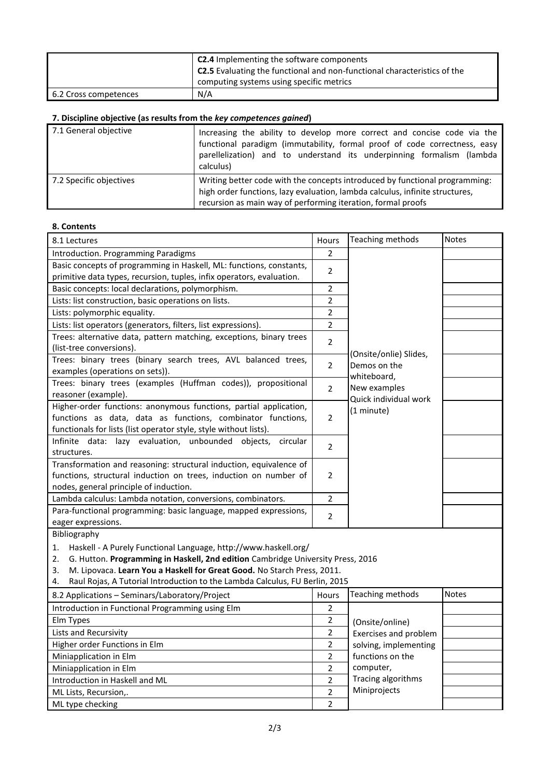|                       | <b>C2.4</b> Implementing the software components<br>$\frac{1}{2}$ C2.5 Evaluating the functional and non-functional characteristics of the |  |
|-----------------------|--------------------------------------------------------------------------------------------------------------------------------------------|--|
|                       | computing systems using specific metrics                                                                                                   |  |
| 6.2 Cross competences | N/A                                                                                                                                        |  |

# **7. Discipline objective (as results from the** *key competences gained***)**

| 7.1 General objective   | Increasing the ability to develop more correct and concise code via the<br>functional paradigm (immutability, formal proof of code correctness, easy<br>parellelization) and to understand its underpinning formalism (lambda<br>calculus) |
|-------------------------|--------------------------------------------------------------------------------------------------------------------------------------------------------------------------------------------------------------------------------------------|
| 7.2 Specific objectives | Writing better code with the concepts introduced by functional programming:<br>high order functions, lazy evaluation, lambda calculus, infinite structures,<br>recursion as main way of performing iteration, formal proofs                |

#### **8. Contents**

| 8.1 Lectures                                                                                                                                                                                                                                                                                                                         | Hours          | Teaching methods                                    | <b>Notes</b> |  |  |
|--------------------------------------------------------------------------------------------------------------------------------------------------------------------------------------------------------------------------------------------------------------------------------------------------------------------------------------|----------------|-----------------------------------------------------|--------------|--|--|
| Introduction. Programming Paradigms                                                                                                                                                                                                                                                                                                  | $\overline{2}$ |                                                     |              |  |  |
| Basic concepts of programming in Haskell, ML: functions, constants,<br>primitive data types, recursion, tuples, infix operators, evaluation.                                                                                                                                                                                         |                |                                                     |              |  |  |
| Basic concepts: local declarations, polymorphism.                                                                                                                                                                                                                                                                                    |                |                                                     |              |  |  |
| Lists: list construction, basic operations on lists.                                                                                                                                                                                                                                                                                 |                |                                                     |              |  |  |
| Lists: polymorphic equality.                                                                                                                                                                                                                                                                                                         | 2              |                                                     |              |  |  |
| Lists: list operators (generators, filters, list expressions).                                                                                                                                                                                                                                                                       | $\overline{2}$ |                                                     |              |  |  |
| Trees: alternative data, pattern matching, exceptions, binary trees<br>(list-tree conversions).                                                                                                                                                                                                                                      | $\overline{2}$ |                                                     |              |  |  |
| Trees: binary trees (binary search trees, AVL balanced trees,                                                                                                                                                                                                                                                                        |                | (Onsite/onlie) Slides,                              |              |  |  |
| examples (operations on sets)).                                                                                                                                                                                                                                                                                                      | $\overline{2}$ | Demos on the                                        |              |  |  |
| Trees: binary trees (examples (Huffman codes)), propositional<br>reasoner (example).                                                                                                                                                                                                                                                 | $\overline{2}$ | whiteboard,<br>New examples                         |              |  |  |
| Quick individual work<br>Higher-order functions: anonymous functions, partial application,<br>(1 minute)<br>functions as data, data as functions, combinator functions,<br>$\overline{2}$<br>functionals for lists (list operator style, style without lists).                                                                       |                |                                                     |              |  |  |
| Infinite data: lazy evaluation, unbounded objects,<br>circular<br>structures.                                                                                                                                                                                                                                                        | $\overline{2}$ |                                                     |              |  |  |
| Transformation and reasoning: structural induction, equivalence of                                                                                                                                                                                                                                                                   |                |                                                     |              |  |  |
| functions, structural induction on trees, induction on number of                                                                                                                                                                                                                                                                     | $\overline{2}$ |                                                     |              |  |  |
| nodes, general principle of induction.                                                                                                                                                                                                                                                                                               |                |                                                     |              |  |  |
| Lambda calculus: Lambda notation, conversions, combinators.                                                                                                                                                                                                                                                                          | $\overline{2}$ |                                                     |              |  |  |
| Para-functional programming: basic language, mapped expressions,                                                                                                                                                                                                                                                                     |                |                                                     |              |  |  |
| eager expressions.                                                                                                                                                                                                                                                                                                                   | $\overline{2}$ |                                                     |              |  |  |
| Bibliography                                                                                                                                                                                                                                                                                                                         |                |                                                     |              |  |  |
| Haskell - A Purely Functional Language, http://www.haskell.org/<br>1.<br>G. Hutton. Programming in Haskell, 2nd edition Cambridge University Press, 2016<br>2.<br>M. Lipovaca. Learn You a Haskell for Great Good. No Starch Press, 2011.<br>3.<br>Raul Rojas, A Tutorial Introduction to the Lambda Calculus, FU Berlin, 2015<br>4. |                |                                                     |              |  |  |
| 8.2 Applications - Seminars/Laboratory/Project                                                                                                                                                                                                                                                                                       | <b>Hours</b>   | Teaching methods                                    | <b>Notes</b> |  |  |
|                                                                                                                                                                                                                                                                                                                                      |                |                                                     |              |  |  |
| Introduction in Functional Programming using Elm                                                                                                                                                                                                                                                                                     | 2              |                                                     |              |  |  |
| Elm Types                                                                                                                                                                                                                                                                                                                            | $\overline{2}$ | (Onsite/online)                                     |              |  |  |
| Lists and Recursivity                                                                                                                                                                                                                                                                                                                | 2              | Exercises and problem                               |              |  |  |
| Higher order Functions in Elm                                                                                                                                                                                                                                                                                                        | 2              | solving, implementing                               |              |  |  |
| Miniapplication in Elm                                                                                                                                                                                                                                                                                                               | 2              | functions on the<br>computer,<br>Tracing algorithms |              |  |  |
| Miniapplication in Elm                                                                                                                                                                                                                                                                                                               | 2              |                                                     |              |  |  |
| Introduction in Haskell and ML                                                                                                                                                                                                                                                                                                       | $\overline{2}$ | Miniprojects                                        |              |  |  |
| ML Lists, Recursion,.                                                                                                                                                                                                                                                                                                                | $\overline{2}$ |                                                     |              |  |  |
| ML type checking                                                                                                                                                                                                                                                                                                                     | $\overline{2}$ |                                                     |              |  |  |